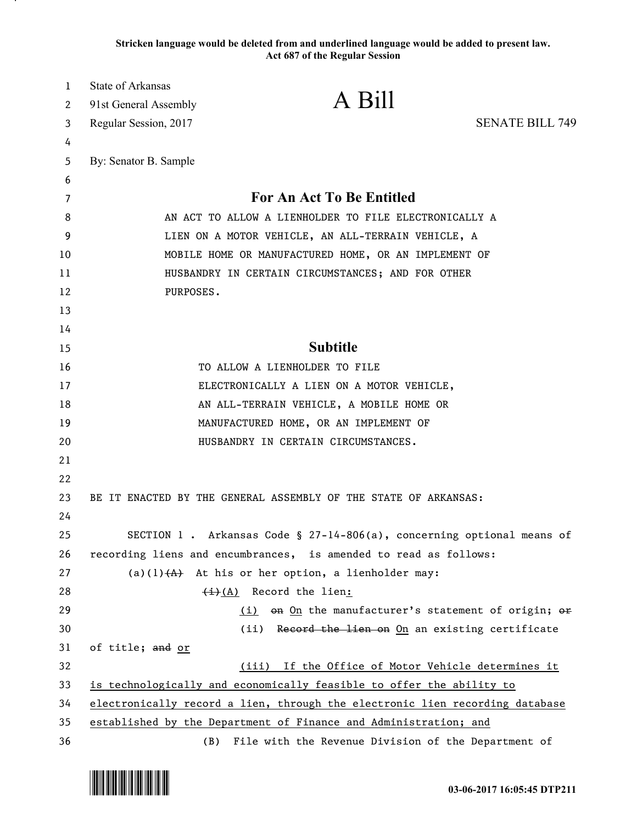**Stricken language would be deleted from and underlined language would be added to present law. Act 687 of the Regular Session**

| 1        | <b>State of Arkansas</b>                                                                                    |                                                                        |                        |
|----------|-------------------------------------------------------------------------------------------------------------|------------------------------------------------------------------------|------------------------|
| 2        | 91st General Assembly                                                                                       | A Bill                                                                 |                        |
| 3        | Regular Session, 2017                                                                                       |                                                                        | <b>SENATE BILL 749</b> |
| 4        |                                                                                                             |                                                                        |                        |
| 5        | By: Senator B. Sample                                                                                       |                                                                        |                        |
| 6        |                                                                                                             | <b>For An Act To Be Entitled</b>                                       |                        |
| 7        |                                                                                                             |                                                                        |                        |
| 8        | AN ACT TO ALLOW A LIENHOLDER TO FILE ELECTRONICALLY A<br>LIEN ON A MOTOR VEHICLE, AN ALL-TERRAIN VEHICLE, A |                                                                        |                        |
| 9        |                                                                                                             |                                                                        |                        |
| 10       | MOBILE HOME OR MANUFACTURED HOME, OR AN IMPLEMENT OF<br>HUSBANDRY IN CERTAIN CIRCUMSTANCES; AND FOR OTHER   |                                                                        |                        |
| 11<br>12 | PURPOSES.                                                                                                   |                                                                        |                        |
| 13       |                                                                                                             |                                                                        |                        |
| 14       |                                                                                                             |                                                                        |                        |
| 15       | <b>Subtitle</b>                                                                                             |                                                                        |                        |
| 16       | TO ALLOW A LIENHOLDER TO FILE                                                                               |                                                                        |                        |
| 17       | ELECTRONICALLY A LIEN ON A MOTOR VEHICLE,                                                                   |                                                                        |                        |
| 18       | AN ALL-TERRAIN VEHICLE, A MOBILE HOME OR                                                                    |                                                                        |                        |
| 19       | MANUFACTURED HOME, OR AN IMPLEMENT OF                                                                       |                                                                        |                        |
| 20       | HUSBANDRY IN CERTAIN CIRCUMSTANCES.                                                                         |                                                                        |                        |
| 21       |                                                                                                             |                                                                        |                        |
| 22       |                                                                                                             |                                                                        |                        |
| 23       | BE IT ENACTED BY THE GENERAL ASSEMBLY OF THE STATE OF ARKANSAS:                                             |                                                                        |                        |
| 24       |                                                                                                             |                                                                        |                        |
| 25       |                                                                                                             | SECTION 1 . Arkansas Code § 27-14-806(a), concerning optional means of |                        |
| 26       | recording liens and encumbrances, is amended to read as follows:                                            |                                                                        |                        |
| 27       | (a)(1) $(A)$ At his or her option, a lienholder may:                                                        |                                                                        |                        |
| 28       | $\overline{(i)(A)}$ Record the lien:                                                                        |                                                                        |                        |
| 29       |                                                                                                             | (i) on On the manufacturer's statement of origin; or                   |                        |
| 30       |                                                                                                             | (ii) Record the lien on On an existing certificate                     |                        |
| 31       | of title; and or                                                                                            |                                                                        |                        |
| 32       | (iii) If the Office of Motor Vehicle determines it                                                          |                                                                        |                        |
| 33       | is technologically and economically feasible to offer the ability to                                        |                                                                        |                        |
| 34       | electronically record a lien, through the electronic lien recording database                                |                                                                        |                        |
| 35       | established by the Department of Finance and Administration; and                                            |                                                                        |                        |
| 36       |                                                                                                             | (B) File with the Revenue Division of the Department of                |                        |